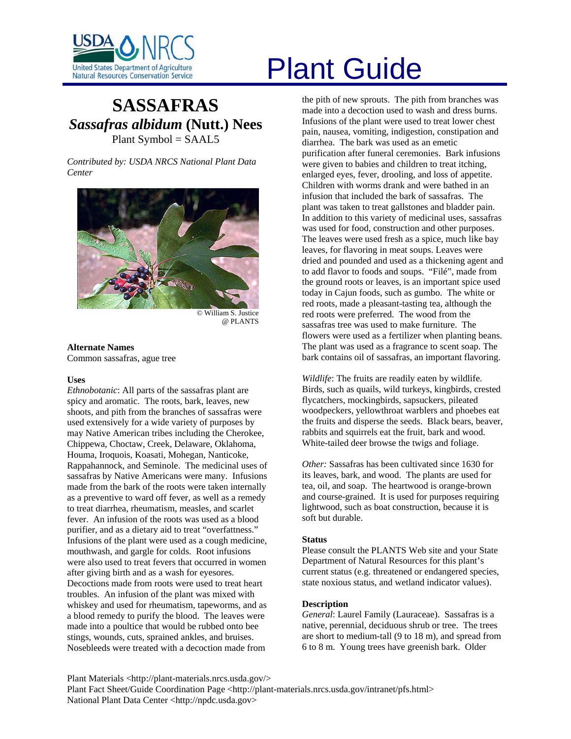

# **SASSAFRAS** *Sassafras albidum* **(Nutt.) Nees** Plant Symbol = SAAL5

*Contributed by: USDA NRCS National Plant Data Center* 



@ PLANTS

# **Alternate Names**  Common sassafras, ague tree

## **Uses**

*Ethnobotanic*: All parts of the sassafras plant are spicy and aromatic. The roots, bark, leaves, new shoots, and pith from the branches of sassafras were used extensively for a wide variety of purposes by may Native American tribes including the Cherokee, Chippewa, Choctaw, Creek, Delaware, Oklahoma, Houma, Iroquois, Koasati, Mohegan, Nanticoke, Rappahannock, and Seminole. The medicinal uses of sassafras by Native Americans were many. Infusions made from the bark of the roots were taken internally as a preventive to ward off fever, as well as a remedy to treat diarrhea, rheumatism, measles, and scarlet fever. An infusion of the roots was used as a blood purifier, and as a dietary aid to treat "overfattness." Infusions of the plant were used as a cough medicine, mouthwash, and gargle for colds. Root infusions were also used to treat fevers that occurred in women after giving birth and as a wash for eyesores. Decoctions made from roots were used to treat heart troubles. An infusion of the plant was mixed with whiskey and used for rheumatism, tapeworms, and as a blood remedy to purify the blood. The leaves were made into a poultice that would be rubbed onto bee stings, wounds, cuts, sprained ankles, and bruises. Nosebleeds were treated with a decoction made from

# United States Department of Agriculture<br>Natural Resources Conservation Service

the pith of new sprouts. The pith from branches was made into a decoction used to wash and dress burns. Infusions of the plant were used to treat lower chest pain, nausea, vomiting, indigestion, constipation and diarrhea. The bark was used as an emetic purification after funeral ceremonies. Bark infusions were given to babies and children to treat itching, enlarged eyes, fever, drooling, and loss of appetite. Children with worms drank and were bathed in an infusion that included the bark of sassafras. The plant was taken to treat gallstones and bladder pain. In addition to this variety of medicinal uses, sassafras was used for food, construction and other purposes. The leaves were used fresh as a spice, much like bay leaves, for flavoring in meat soups. Leaves were dried and pounded and used as a thickening agent and to add flavor to foods and soups. "Filé", made from the ground roots or leaves, is an important spice used today in Cajun foods, such as gumbo. The white or red roots, made a pleasant-tasting tea, although the red roots were preferred. The wood from the sassafras tree was used to make furniture. The flowers were used as a fertilizer when planting beans. The plant was used as a fragrance to scent soap. The bark contains oil of sassafras, an important flavoring.

*Wildlife*: The fruits are readily eaten by wildlife. Birds, such as quails, wild turkeys, kingbirds, crested flycatchers, mockingbirds, sapsuckers, pileated woodpeckers, yellowthroat warblers and phoebes eat the fruits and disperse the seeds. Black bears, beaver, rabbits and squirrels eat the fruit, bark and wood. White-tailed deer browse the twigs and foliage.

*Other:* Sassafras has been cultivated since 1630 for its leaves, bark, and wood. The plants are used for tea, oil, and soap. The heartwood is orange-brown and course-grained. It is used for purposes requiring lightwood, such as boat construction, because it is soft but durable.

# **Status**

Please consult the PLANTS Web site and your State Department of Natural Resources for this plant's current status (e.g. threatened or endangered species, state noxious status, and wetland indicator values).

# **Description**

*General*: Laurel Family (Lauraceae). Sassafras is a native, perennial, deciduous shrub or tree. The trees are short to medium-tall (9 to 18 m), and spread from 6 to 8 m. Young trees have greenish bark. Older

Plant Materials <http://plant-materials.nrcs.usda.gov/> Plant Fact Sheet/Guide Coordination Page <http://plant-materials.nrcs.usda.gov/intranet/pfs.html> National Plant Data Center <http://npdc.usda.gov>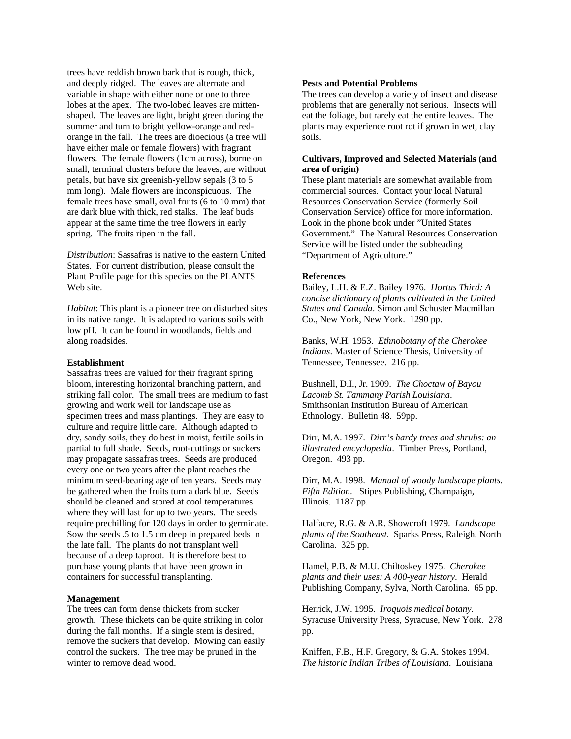trees have reddish brown bark that is rough, thick, and deeply ridged. The leaves are alternate and variable in shape with either none or one to three lobes at the apex. The two-lobed leaves are mittenshaped. The leaves are light, bright green during the summer and turn to bright yellow-orange and redorange in the fall. The trees are dioecious (a tree will have either male or female flowers) with fragrant flowers. The female flowers (1cm across), borne on small, terminal clusters before the leaves, are without petals, but have six greenish-yellow sepals (3 to 5 mm long). Male flowers are inconspicuous. The female trees have small, oval fruits (6 to 10 mm) that are dark blue with thick, red stalks. The leaf buds appear at the same time the tree flowers in early spring. The fruits ripen in the fall.

*Distribution*: Sassafras is native to the eastern United States. For current distribution, please consult the Plant Profile page for this species on the PLANTS Web site.

*Habitat*: This plant is a pioneer tree on disturbed sites in its native range. It is adapted to various soils with low pH. It can be found in woodlands, fields and along roadsides.

#### **Establishment**

Sassafras trees are valued for their fragrant spring bloom, interesting horizontal branching pattern, and striking fall color. The small trees are medium to fast growing and work well for landscape use as specimen trees and mass plantings. They are easy to culture and require little care. Although adapted to dry, sandy soils, they do best in moist, fertile soils in partial to full shade. Seeds, root-cuttings or suckers may propagate sassafras trees. Seeds are produced every one or two years after the plant reaches the minimum seed-bearing age of ten years. Seeds may be gathered when the fruits turn a dark blue. Seeds should be cleaned and stored at cool temperatures where they will last for up to two years. The seeds require prechilling for 120 days in order to germinate. Sow the seeds .5 to 1.5 cm deep in prepared beds in the late fall. The plants do not transplant well because of a deep taproot. It is therefore best to purchase young plants that have been grown in containers for successful transplanting.

#### **Management**

The trees can form dense thickets from sucker growth. These thickets can be quite striking in color during the fall months. If a single stem is desired, remove the suckers that develop. Mowing can easily control the suckers. The tree may be pruned in the winter to remove dead wood.

#### **Pests and Potential Problems**

The trees can develop a variety of insect and disease problems that are generally not serious. Insects will eat the foliage, but rarely eat the entire leaves. The plants may experience root rot if grown in wet, clay soils.

# **Cultivars, Improved and Selected Materials (and area of origin)**

These plant materials are somewhat available from commercial sources. Contact your local Natural Resources Conservation Service (formerly Soil Conservation Service) office for more information. Look in the phone book under "United States Government." The Natural Resources Conservation Service will be listed under the subheading "Department of Agriculture."

## **References**

Bailey, L.H. & E.Z. Bailey 1976. *Hortus Third: A concise dictionary of plants cultivated in the United States and Canada*. Simon and Schuster Macmillan Co., New York, New York. 1290 pp.

Banks, W.H. 1953. *Ethnobotany of the Cherokee Indians*. Master of Science Thesis, University of Tennessee, Tennessee. 216 pp.

Bushnell, D.I., Jr. 1909. *The Choctaw of Bayou Lacomb St. Tammany Parish Louisiana*. Smithsonian Institution Bureau of American Ethnology. Bulletin 48. 59pp.

Dirr, M.A. 1997. *Dirr's hardy trees and shrubs: an illustrated encyclopedia*. Timber Press, Portland, Oregon. 493 pp.

Dirr, M.A. 1998. *Manual of woody landscape plants. Fifth Edition*. Stipes Publishing, Champaign, Illinois. 1187 pp.

Halfacre, R.G. & A.R. Showcroft 1979. *Landscape plants of the Southeast*. Sparks Press, Raleigh, North Carolina. 325 pp.

Hamel, P.B. & M.U. Chiltoskey 1975. *Cherokee plants and their uses: A 400-year history*. Herald Publishing Company, Sylva, North Carolina. 65 pp.

Herrick, J.W. 1995. *Iroquois medical botany*. Syracuse University Press, Syracuse, New York. 278 pp.

Kniffen, F.B., H.F. Gregory, & G.A. Stokes 1994. *The historic Indian Tribes of Louisiana*. Louisiana